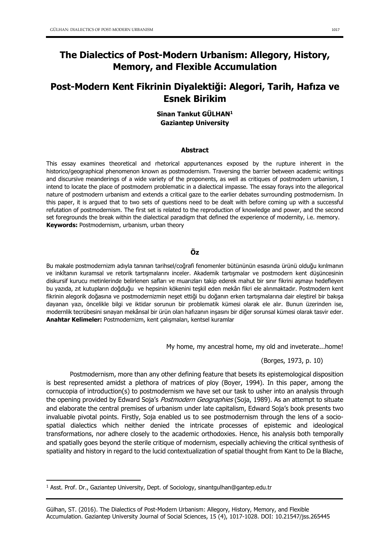# The Dialectics of Post-Modern Urbanism: Allegory, History, Memory, and Flexible Accumulation

## Post-Modern Kent Fikrinin Diyalektiği: Alegori, Tarih, Hafıza ve Esnek Birikim

## Sinan Tankut GÜLHAN1 Gaziantep University

#### Abstract

This essay examines theoretical and rhetorical appurtenances exposed by the rupture inherent in the historico/geographical phenomenon known as postmodernism. Traversing the barrier between academic writings and discursive meanderings of a wide variety of the proponents, as well as critiques of postmodern urbanism, I intend to locate the place of postmodern problematic in a dialectical impasse. The essay forays into the allegorical nature of postmodern urbanism and extends a critical gaze to the earlier debates surrounding postmodernism. In this paper, it is argued that to two sets of questions need to be dealt with before coming up with a successful refutation of postmodernism. The first set is related to the reproduction of knowledge and power, and the second set foregrounds the break within the dialectical paradigm that defined the experience of modernity, i.e. memory. Keywords: Postmodernism, urbanism, urban theory

## Öz

Bu makale postmodernizm adıyla tanınan tarihsel/coğrafi fenomenler bütününün esasında ürünü olduğu kırılmanın ve inkîtanın kuramsal ve retorik tartışmalarını inceler. Akademik tartışmalar ve postmodern kent düşüncesinin diskursif kurucu metinlerinde belirlenen safları ve muarızları takip ederek mahut bir sınır fikrini aşmayı hedefleyen bu yazıda, zıt kutupların doğduğu ve hepsinin kökenini teşkil eden mekân fikri ele alınmaktadır. Postmodern kent fikrinin alegorik doğasına ve postmodernizmin neşet ettiği bu doğanın erken tartışmalarına dair eleştirel bir bakışa dayanan yazı, öncelikle bilgi ve iktidar sorunun bir problematik kümesi olarak ele alır. Bunun üzerinden ise, modernlik tecrübesini sınayan mekânsal bir ürün olan hafızanın inşasını bir diğer sorunsal kümesi olarak tasvir eder. Anahtar Kelimeler: Postmodernizm, kent çalışmaları, kentsel kuramlar

My home, my ancestral home, my old and inveterate...home!

(Borges, 1973, p. 10)

Postmodernism, more than any other defining feature that besets its epistemological disposition is best represented amidst a plethora of matrices of ploy (Boyer, 1994). In this paper, among the cornucopia of introduction(s) to postmodernism we have set our task to usher into an analysis through the opening provided by Edward Soja's Postmodern Geographies (Soja, 1989). As an attempt to situate and elaborate the central premises of urbanism under late capitalism, Edward Soja's book presents two invaluable pivotal points. Firstly, Soja enabled us to see postmodernism through the lens of a sociospatial dialectics which neither denied the intricate processes of epistemic and ideological transformations, nor adhere closely to the academic orthodoxies. Hence, his analysis both temporally and spatially goes beyond the sterile critique of modernism, especially achieving the critical synthesis of spatiality and history in regard to the lucid contextualization of spatial thought from Kant to De la Blache,

 $\overline{a}$ 

 $1$  Asst. Prof. Dr., Gaziantep University, Dept. of Sociology, sinantgulhan@gantep.edu.tr

Gülhan, ST. (2016). The Dialectics of Post-Modern Urbanism: Allegory, History, Memory, and Flexible Accumulation. Gaziantep University Journal of Social Sciences, 15 (4), 1017-1028. DOI: 10.21547/jss.265445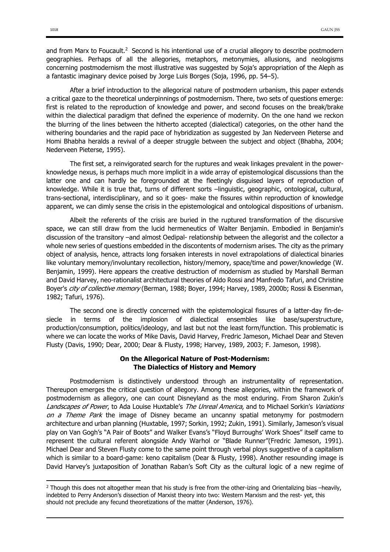and from Marx to Foucault.<sup>2</sup> Second is his intentional use of a crucial allegory to describe postmodern geographies. Perhaps of all the allegories, metaphors, metonymies, allusions, and neologisms concerning postmodernism the most illustrative was suggested by Soja's appropriation of the Aleph as a fantastic imaginary device poised by Jorge Luis Borges (Soja, 1996, pp. 54–5).

After a brief introduction to the allegorical nature of postmodern urbanism, this paper extends a critical gaze to the theoretical underpinnings of postmodernism. There, two sets of questions emerge: first is related to the reproduction of knowledge and power, and second focuses on the break/brake within the dialectical paradigm that defined the experience of modernity. On the one hand we reckon the blurring of the lines between the hitherto accepted (dialectical) categories, on the other hand the withering boundaries and the rapid pace of hybridization as suggested by Jan Nederveen Pieterse and Homi Bhabha heralds a revival of a deeper struggle between the subject and object (Bhabha, 2004; Nederveen Pieterse, 1995).

The first set, a reinvigorated search for the ruptures and weak linkages prevalent in the powerknowledge nexus, is perhaps much more implicit in a wide array of epistemological discussions than the latter one and can hardly be foregrounded at the fleetingly disguised layers of reproduction of knowledge. While it is true that, turns of different sorts –linguistic, geographic, ontological, cultural, trans-sectional, interdisciplinary, and so it goes- make the fissures within reproduction of knowledge apparent, we can dimly sense the crisis in the epistemological and ontological dispositions of urbanism.

Albeit the referents of the crisis are buried in the ruptured transformation of the discursive space, we can still draw from the lucid hermeneutics of Walter Benjamin. Embodied in Benjamin's discussion of the transitory –and almost Oedipal- relationship between the allegorist and the collector a whole new series of questions embedded in the discontents of modernism arises. The city as the primary object of analysis, hence, attracts long forsaken interests in novel extrapolations of dialectical binaries like voluntary memory/involuntary recollection, history/memory, space/time and power/knowledge (W. Benjamin, 1999). Here appears the creative destruction of modernism as studied by Marshall Berman and David Harvey, neo-rationalist architectural theories of Aldo Rossi and Manfredo Tafuri, and Christine Boyer's city of collective memory (Berman, 1988; Boyer, 1994; Harvey, 1989, 2000b; Rossi & Eisenman, 1982; Tafuri, 1976).

The second one is directly concerned with the epistemological fissures of a latter-day fin-desiecle in terms of the implosion of dialectical ensembles like base/superstructure, production/consumption, politics/ideology, and last but not the least form/function. This problematic is where we can locate the works of Mike Davis, David Harvey, Fredric Jameson, Michael Dear and Steven Flusty (Davis, 1990; Dear, 2000; Dear & Flusty, 1998; Harvey, 1989, 2003; F. Jameson, 1998).

## On the Allegorical Nature of Post-Modernism: The Dialectics of History and Memory

Postmodernism is distinctively understood through an instrumentality of representation. Thereupon emerges the critical question of allegory. Among these allegories, within the framework of postmodernism as allegory, one can count Disneyland as the most enduring. From Sharon Zukin's Landscapes of Power, to Ada Louise Huxtable's The Unreal America, and to Michael Sorkin's Variations on a Theme Park the image of Disney became an uncanny spatial metonymy for postmodern architecture and urban planning (Huxtable, 1997; Sorkin, 1992; Zukin, 1991). Similarly, Jameson's visual play on Van Gogh's "A Pair of Boots" and Walker Evans's "Floyd Burroughs' Work Shoes" itself came to represent the cultural referent alongside Andy Warhol or "Blade Runner"(Fredric Jameson, 1991). Michael Dear and Steven Flusty come to the same point through verbal ploys suggestive of a capitalism which is similar to a board-game: keno capitalism (Dear & Flusty, 1998). Another resounding image is David Harvey's juxtaposition of Jonathan Raban's Soft City as the cultural logic of a new regime of

 $\ddot{\phantom{a}}$ 

<sup>&</sup>lt;sup>2</sup> Though this does not altogether mean that his study is free from the other-izing and Orientalizing bias –heavily, indebted to Perry Anderson's dissection of Marxist theory into two: Western Marxism and the rest- yet, this should not preclude any fecund theoretizations of the matter (Anderson, 1976).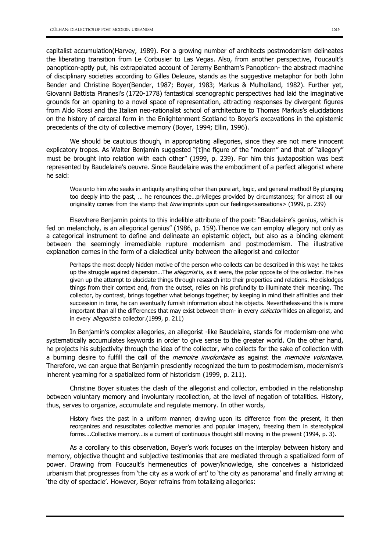capitalist accumulation(Harvey, 1989). For a growing number of architects postmodernism delineates the liberating transition from Le Corbusier to Las Vegas. Also, from another perspective, Foucault's panopticon-aptly put, his extrapolated account of Jeremy Bentham's Panopticon- the abstract machine of disciplinary societies according to Gilles Deleuze, stands as the suggestive metaphor for both John Bender and Christine Boyer(Bender, 1987; Boyer, 1983; Markus & Mulholland, 1982). Further yet, Giovanni Battista Piranesi's (1720-1778) fantastical scenographic perspectives had laid the imaginative grounds for an opening to a novel space of representation, attracting responses by divergent figures from Aldo Rossi and the Italian neo-rationalist school of architecture to Thomas Markus's elucidations on the history of carceral form in the Enlightenment Scotland to Boyer's excavations in the epistemic precedents of the city of collective memory (Boyer, 1994; Ellin, 1996).

We should be cautious though, in appropriating allegories, since they are not mere innocent explicatory tropes. As Walter Benjamin suggested "[t]he figure of the "modern" and that of "allegory" must be brought into relation with each other" (1999, p. 239). For him this juxtaposition was best represented by Baudelaire's oeuvre. Since Baudelaire was the embodiment of a perfect allegorist where he said:

Woe unto him who seeks in antiquity anything other than pure art, logic, and general method! By plunging too deeply into the past, … he renounces the…privileges provided by circumstances; for almost all our originality comes from the stamp that time imprints upon our feelings<sensations> (1999, p. 239)

Elsewhere Benjamin points to this indelible attribute of the poet: "Baudelaire's genius, which is fed on melancholy, is an allegorical genius" (1986, p. 159).Thence we can employ allegory not only as a categorical instrument to define and delineate an epistemic object, but also as a binding element between the seemingly irremediable rupture modernism and postmodernism. The illustrative explanation comes in the form of a dialectical unity between the allegorist and collector

Perhaps the most deeply hidden motive of the person who collects can be described in this way: he takes up the struggle against dispersion...The *allegorist* is, as it were, the polar opposite of the collector. He has given up the attempt to elucidate things through research into their properties and relations. He dislodges things from their context and, from the outset, relies on his profundity to illuminate their meaning. The collector, by contrast, brings together what belongs together; by keeping in mind their affinities and their succession in time, he can eventually furnish information about his objects. Nevertheless-and this is more important than all the differences that may exist between them- in every *collector* hides an allegorist, and in every *allegorist* a collector.(1999, p. 211)

In Benjamin's complex allegories, an allegorist -like Baudelaire, stands for modernism-one who systematically accumulates keywords in order to give sense to the greater world. On the other hand, he projects his subjectivity through the idea of the collector, who collects for the sake of collection with a burning desire to fulfill the call of the *memoire involontaire* as against the *memoire volontaire*. Therefore, we can argue that Benjamin presciently recognized the turn to postmodernism, modernism's inherent yearning for a spatialized form of historicism (1999, p. 211).

Christine Boyer situates the clash of the allegorist and collector, embodied in the relationship between voluntary memory and involuntary recollection, at the level of negation of totalities. History, thus, serves to organize, accumulate and regulate memory. In other words,

History fixes the past in a uniform manner; drawing upon its difference from the present, it then reorganizes and resuscitates collective memories and popular imagery, freezing them in stereotypical forms….Collective memory…is a current of continuous thought still moving in the present (1994, p. 3).

As a corollary to this observation, Boyer's work focuses on the interplay between history and memory, objective thought and subjective testimonies that are mediated through a spatialized form of power. Drawing from Foucault's hermeneutics of power/knowledge, she conceives a historicized urbanism that progresses from 'the city as a work of art' to 'the city as panorama' and finally arriving at 'the city of spectacle'. However, Boyer refrains from totalizing allegories: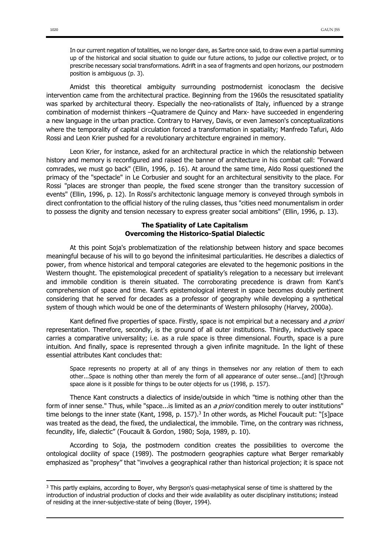In our current negation of totalities, we no longer dare, as Sartre once said, to draw even a partial summing up of the historical and social situation to guide our future actions, to judge our collective project, or to prescribe necessary social transformations. Adrift in a sea of fragments and open horizons, our postmodern position is ambiguous (p. 3).

Amidst this theoretical ambiguity surrounding postmodernist iconoclasm the decisive intervention came from the architectural practice. Beginning from the 1960s the resuscitated spatiality was sparked by architectural theory. Especially the neo-rationalists of Italy, influenced by a strange combination of modernist thinkers –Quatramere de Quincy and Marx- have succeeded in engendering a new language in the urban practice. Contrary to Harvey, Davis, or even Jameson's conceptualizations where the temporality of capital circulation forced a transformation in spatiality; Manfredo Tafuri, Aldo Rossi and Leon Krier pushed for a revolutionary architecture engrained in memory.

Leon Krier, for instance, asked for an architectural practice in which the relationship between history and memory is reconfigured and raised the banner of architecture in his combat call: "Forward comrades, we must go back" (Ellin, 1996, p. 16). At around the same time, Aldo Rossi questioned the primacy of the "spectacle" in Le Corbusier and sought for an architectural sensitivity to the place. For Rossi "places are stronger than people, the fixed scene stronger than the transitory succession of events" (Ellin, 1996, p. 12). In Rossi's architectonic language memory is conveyed through symbols in direct confrontation to the official history of the ruling classes, thus "cities need monumentalism in order to possess the dignity and tension necessary to express greater social ambitions" (Ellin, 1996, p. 13).

## The Spatiality of Late Capitalism Overcoming the Historico-Spatial Dialectic

At this point Soja's problematization of the relationship between history and space becomes meaningful because of his will to go beyond the infinitesimal particularities. He describes a dialectics of power, from whence historical and temporal categories are elevated to the hegemonic positions in the Western thought. The epistemological precedent of spatiality's relegation to a necessary but irrelevant and immobile condition is therein situated. The corroborating precedence is drawn from Kant's comprehension of space and time. Kant's epistemological interest in space becomes doubly pertinent considering that he served for decades as a professor of geography while developing a synthetical system of though which would be one of the determinants of Western philosophy (Harvey, 2000a).

Kant defined five properties of space. Firstly, space is not empirical but a necessary and a priori representation. Therefore, secondly, is the ground of all outer institutions. Thirdly, inductively space carries a comparative universality; i.e. as a rule space is three dimensional. Fourth, space is a pure intuition. And finally, space is represented through a given infinite magnitude. In the light of these essential attributes Kant concludes that:

Space represents no property at all of any things in themselves nor any relation of them to each other...Space is nothing other than merely the form of all appearance of outer sense...[and] [t]hrough space alone is it possible for things to be outer objects for us (1998, p. 157).

Thence Kant constructs a dialectics of inside/outside in which "time is nothing other than the form of inner sense." Thus, while "space...is limited as an a priori condition merely to outer institutions" time belongs to the inner state (Kant, 1998, p. 157).<sup>3</sup> In other words, as Michel Foucault put: "[s]pace was treated as the dead, the fixed, the undialectical, the immobile. Time, on the contrary was richness, fecundity, life, dialectic" (Foucault & Gordon, 1980; Soja, 1989, p. 10).

According to Soja, the postmodern condition creates the possibilities to overcome the ontological docility of space (1989). The postmodern geographies capture what Berger remarkably emphasized as "prophesy" that "involves a geographical rather than historical projection; it is space not

 $\ddot{\phantom{a}}$ 

<sup>&</sup>lt;sup>3</sup> This partly explains, according to Boyer, why Bergson's quasi-metaphysical sense of time is shattered by the introduction of industrial production of clocks and their wide availability as outer disciplinary institutions; instead of residing at the inner-subjective-state of being (Boyer, 1994).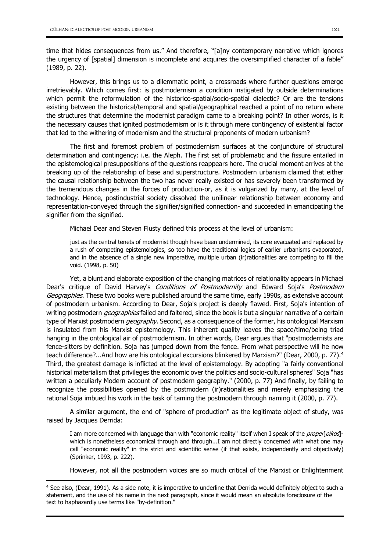$\ddot{\phantom{a}}$ 

time that hides consequences from us." And therefore, "[a]ny contemporary narrative which ignores the urgency of [spatial] dimension is incomplete and acquires the oversimplified character of a fable" (1989, p. 22).

However, this brings us to a dilemmatic point, a crossroads where further questions emerge irretrievably. Which comes first: is postmodernism a condition instigated by outside determinations which permit the reformulation of the historico-spatial/socio-spatial dialectic? Or are the tensions existing between the historical/temporal and spatial/geographical reached a point of no return where the structures that determine the modernist paradigm came to a breaking point? In other words, is it the necessary causes that ignited postmodernism or is it through mere contingency of existential factor that led to the withering of modernism and the structural proponents of modern urbanism?

The first and foremost problem of postmodernism surfaces at the conjuncture of structural determination and contingency: i.e. the Aleph. The first set of problematic and the fissure entailed in the epistemological presuppositions of the questions reappears here. The crucial moment arrives at the breaking up of the relationship of base and superstructure. Postmodern urbanism claimed that either the causal relationship between the two has never really existed or has severely been transformed by the tremendous changes in the forces of production-or, as it is vulgarized by many, at the level of technology. Hence, postindustrial society dissolved the unilinear relationship between economy and representation-conveyed through the signifier/signified connection- and succeeded in emancipating the signifier from the signified.

Michael Dear and Steven Flusty defined this process at the level of urbanism:

just as the central tenets of modernist though have been undermined, its core evacuated and replaced by a rush of competing epistemologies, so too have the traditional logics of earlier urbanisms evaporated, and in the absence of a single new imperative, multiple urban (ir)rationalities are competing to fill the void. (1998, p. 50)

Yet, a blunt and elaborate exposition of the changing matrices of relationality appears in Michael Dear's critique of David Harvey's Conditions of Postmodernity and Edward Soja's Postmodern Geographies. These two books were published around the same time, early 1990s, as extensive account of postmodern urbanism. According to Dear, Soja's project is deeply flawed. First, Soja's intention of writing postmodern *geographies* failed and faltered, since the book is but a singular narrative of a certain type of Marxist postmodern *geography*. Second, as a consequence of the former, his ontological Marxism is insulated from his Marxist epistemology. This inherent quality leaves the space/time/being triad hanging in the ontological air of postmodernism. In other words, Dear argues that "postmodernists are fence-sitters by definition. Soja has jumped down from the fence. From what perspective will he now teach difference?...And how are his ontological excursions blinkered by Marxism?" (Dear, 2000, p. 77). 4 Third, the greatest damage is inflicted at the level of epistemology. By adopting "a fairly conventional historical materialism that privileges the economic over the politics and socio-cultural spheres" Soja "has written a peculiarly Modern account of postmodern geography." (2000, p. 77) And finally, by failing to recognize the possibilities opened by the postmodern (ir)rationalities and merely emphasizing the rational Soja imbued his work in the task of taming the postmodern through naming it (2000, p. 77).

A similar argument, the end of "sphere of production" as the legitimate object of study, was raised by Jacques Derrida:

I am more concerned with language than with "economic reality" itself when I speak of the proper oikos]which is nonetheless economical through and through...I am not directly concerned with what one may call "economic reality" in the strict and scientific sense (if that exists, independently and objectively) (Sprinker, 1993, p. 222).

However, not all the postmodern voices are so much critical of the Marxist or Enlightenment

<sup>4</sup> See also, (Dear, 1991). As a side note, it is imperative to underline that Derrida would definitely object to such a statement, and the use of his name in the next paragraph, since it would mean an absolute foreclosure of the text to haphazardly use terms like "by-definition."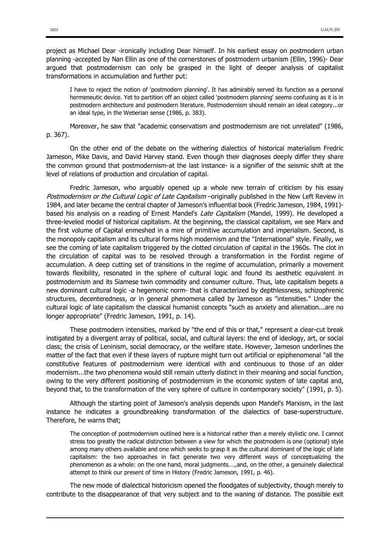project as Michael Dear -ironically including Dear himself. In his earliest essay on postmodern urban planning -accepted by Nan Ellin as one of the cornerstones of postmodern urbanism (Ellin, 1996)- Dear argued that postmodernism can only be grasped in the light of deeper analysis of capitalist transformations in accumulation and further put:

I have to reject the notion of 'postmodern planning'. It has admirably served its function as a personal hermeneutic device. Yet to partition off an object called 'postmodern planning' seems confusing as it is in postmodern architecture and postmodern literature. Postmodernism should remain an ideal category...or an ideal type, in the Weberian sense (1986, p. 383).

Moreover, he saw that "academic conservatism and postmodernism are not unrelated" (1986, p. 367).

On the other end of the debate on the withering dialectics of historical materialism Fredric Jameson, Mike Davis, and David Harvey stand. Even though their diagnoses deeply differ they share the common ground that postmodernism-at the last instance- is a signifier of the seismic shift at the level of relations of production and circulation of capital.

Fredric Jameson, who arguably opened up a whole new terrain of criticism by his essay Postmodernism or the Cultural Logic of Late Capitalism –originally published in the New Left Review in 1984, and later became the central chapter of Jameson's influential book (Fredric Jameson, 1984, 1991) based his analysis on a reading of Ernest Mandel's *Late Capitalism* (Mandel, 1999). He developed a three-leveled model of historical capitalism. At the beginning, the classical capitalism, we see Marx and the first volume of Capital enmeshed in a mire of primitive accumulation and imperialism. Second, is the monopoly capitalism and its cultural forms high modernism and the "International" style. Finally, we see the coming of late capitalism triggered by the clotted circulation of capital in the 1960s. The clot in the circulation of capital was to be resolved through a transformation in the Fordist regime of accumulation. A deep cutting set of transitions in the regime of accumulation, primarily a movement towards flexibility, resonated in the sphere of cultural logic and found its aesthetic equivalent in postmodernism and its Siamese twin commodity and consumer culture. Thus, late capitalism begets a new dominant cultural logic -a hegemonic norm- that is characterized by depthlessness, schizophrenic structures, decenteredness, or in general phenomena called by Jameson as "intensities." Under the cultural logic of late capitalism the classical humanist concepts "such as anxiety and alienation...are no longer appropriate" (Fredric Jameson, 1991, p. 14).

These postmodern intensities, marked by "the end of this or that," represent a clear-cut break instigated by a divergent array of political, social, and cultural layers: the end of ideology, art, or social class; the crisis of Leninism, social democracy, or the welfare state. However, Jameson underlines the matter of the fact that even if these layers of rupture might turn out artificial or epiphenomenal "all the constitutive features of postmodernism were identical with and continuous to those of an older modernism...the two phenomena would still remain utterly distinct in their meaning and social function, owing to the very different positioning of postmodernism in the economic system of late capital and, beyond that, to the transformation of the very sphere of culture in contemporary society" (1991, p. 5).

Although the starting point of Jameson's analysis depends upon Mandel's Marxism, in the last instance he indicates a groundbreaking transformation of the dialectics of base-superstructure. Therefore, he warns that;

The conception of postmodernism outlined here is a historical rather than a merely stylistic one. I cannot stress too greatly the radical distinction between a view for which the postmodern is one (optional) style among many others available and one which seeks to grasp it as the cultural dominant of the logic of late capitalism: the two approaches in fact generate two very different ways of conceptualizing the phenomenon as a whole: on the one hand, moral judgments….,and, on the other, a genuinely dialectical attempt to think our present of time in History (Fredric Jameson, 1991, p. 46).

The new mode of dialectical historicism opened the floodgates of subjectivity, though merely to contribute to the disappearance of that very subject and to the waning of distance. The possible exit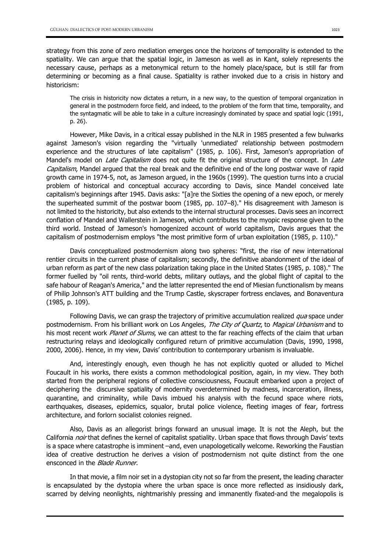strategy from this zone of zero mediation emerges once the horizons of temporality is extended to the spatiality. We can argue that the spatial logic, in Jameson as well as in Kant, solely represents the necessary cause, perhaps as a metonymical return to the homely place/space, but is still far from determining or becoming as a final cause. Spatiality is rather invoked due to a crisis in history and historicism:

The crisis in historicity now dictates a return, in a new way, to the question of temporal organization in general in the postmodern force field, and indeed, to the problem of the form that time, temporality, and the syntagmatic will be able to take in a culture increasingly dominated by space and spatial logic (1991, p. 26).

However, Mike Davis, in a critical essay published in the NLR in 1985 presented a few bulwarks against Jameson's vision regarding the "virtually 'unmediated' relationship between postmodern experience and the structures of late capitalism" (1985, p. 106). First, Jameson's appropriation of Mandel's model on *Late Capitalism* does not quite fit the original structure of the concept. In *Late* Capitalism, Mandel argued that the real break and the definitive end of the long postwar wave of rapid growth came in 1974-5, not, as Jameson argued, in the 1960s (1999). The question turns into a crucial problem of historical and conceptual accuracy according to Davis, since Mandel conceived late capitalism's beginnings after 1945. Davis asks: "[a]re the Sixties the opening of a new epoch, or merely the superheated summit of the postwar boom (1985, pp. 107–8)." His disagreement with Jameson is not limited to the historicity, but also extends to the internal structural processes. Davis sees an incorrect conflation of Mandel and Wallerstein in Jameson, which contributes to the myopic response given to the third world. Instead of Jameson's homogenized account of world capitalism, Davis argues that the capitalism of postmodernism employs "the most primitive form of urban exploitation (1985, p. 110)."

Davis conceptualized postmodernism along two spheres: "first, the rise of new international rentier circuits in the current phase of capitalism; secondly, the definitive abandonment of the ideal of urban reform as part of the new class polarization taking place in the United States (1985, p. 108)." The former fuelled by "oil rents, third-world debts, military outlays, and the global flight of capital to the safe habour of Reagan's America," and the latter represented the end of Miesian functionalism by means of Philip Johnson's ATT building and the Trump Castle, skyscraper fortress enclaves, and Bonaventura (1985, p. 109).

Following Davis, we can grasp the trajectory of primitive accumulation realized qua space under postmodernism. From his brilliant work on Los Angeles, The City of Quartz, to Magical Urbanism and to his most recent work Planet of Slums, we can attest to the far reaching effects of the claim that urban restructuring relays and ideologically configured return of primitive accumulation (Davis, 1990, 1998, 2000, 2006). Hence, in my view, Davis' contribution to contemporary urbanism is invaluable.

And, interestingly enough, even though he has not explicitly quoted or alluded to Michel Foucault in his works, there exists a common methodological position, again, in my view. They both started from the peripheral regions of collective consciousness, Foucault embarked upon a project of deciphering the discursive spatiality of modernity overdetermined by madness, incarceration, illness, quarantine, and criminality, while Davis imbued his analysis with the fecund space where riots, earthquakes, diseases, epidemics, squalor, brutal police violence, fleeting images of fear, fortress architecture, and forlorn socialist colonies reigned.

Also, Davis as an allegorist brings forward an unusual image. It is not the Aleph, but the California *noir* that defines the kernel of capitalist spatiality. Urban space that flows through Davis' texts is a space where catastrophe is imminent –and, even unapologetically welcome. Reworking the Faustian idea of creative destruction he derives a vision of postmodernism not quite distinct from the one ensconced in the *Blade Runner*.

In that movie, a film noir set in a dystopian city not so far from the present, the leading character is encapsulated by the dystopia where the urban space is once more reflected as insidiously dark, scarred by delving neonlights, nightmarishly pressing and immanently fixated-and the megalopolis is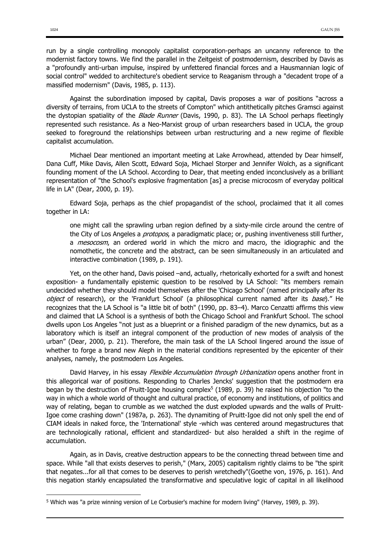run by a single controlling monopoly capitalist corporation-perhaps an uncanny reference to the modernist factory towns. We find the parallel in the Zeitgeist of postmodernism, described by Davis as a "profoundly anti-urban impulse, inspired by unfettered financial forces and a Hausmannian logic of social control" wedded to architecture's obedient service to Reaganism through a "decadent trope of a massified modernism" (Davis, 1985, p. 113).

Against the subordination imposed by capital, Davis proposes a war of positions "across a diversity of terrains, from UCLA to the streets of Compton" which antithetically pitches Gramsci against the dystopian spatiality of the Blade Runner (Davis, 1990, p. 83). The LA School perhaps fleetingly represented such resistance. As a Neo-Marxist group of urban researchers based in UCLA, the group seeked to foreground the relationships between urban restructuring and a new regime of flexible capitalist accumulation.

Michael Dear mentioned an important meeting at Lake Arrowhead, attended by Dear himself, Dana Cuff, Mike Davis, Allen Scott, Edward Soja, Michael Storper and Jennifer Wolch, as a significant founding moment of the LA School. According to Dear, that meeting ended inconclusively as a brilliant representation of "the School's explosive fragmentation [as] a precise microcosm of everyday political life in LA" (Dear, 2000, p. 19).

Edward Soja, perhaps as the chief propagandist of the school, proclaimed that it all comes together in LA:

one might call the sprawling urban region defined by a sixty-mile circle around the centre of the City of Los Angeles a *protopos*, a paradigmatic place; or, pushing inventiveness still further, a *mesocosm*, an ordered world in which the micro and macro, the idiographic and the nomothetic, the concrete and the abstract, can be seen simultaneously in an articulated and interactive combination (1989, p. 191).

Yet, on the other hand, Davis poised –and, actually, rhetorically exhorted for a swift and honest exposition- a fundamentally epistemic question to be resolved by LA School: "its members remain undecided whether they should model themselves after the 'Chicago School' (named principally after its object of research), or the 'Frankfurt School' (a philosophical current named after its base)." He recognizes that the LA School is "a little bit of both" (1990, pp. 83–4). Marco Cenzatti affirms this view and claimed that LA School is a synthesis of both the Chicago School and Frankfurt School. The school dwells upon Los Angeles "not just as a blueprint or a finished paradigm of the new dynamics, but as a laboratory which is itself an integral component of the production of new modes of analysis of the urban" (Dear, 2000, p. 21). Therefore, the main task of the LA School lingered around the issue of whether to forge a brand new Aleph in the material conditions represented by the epicenter of their analyses, namely, the postmodern Los Angeles.

David Harvey, in his essay *Flexible Accumulation through Urbanization* opens another front in this allegorical war of positions. Responding to Charles Jencks' suggestion that the postmodern era began by the destruction of Pruitt-Igoe housing complex<sup>5</sup> (1989, p. 39) he raised his objection "to the way in which a whole world of thought and cultural practice, of economy and institutions, of politics and way of relating, began to crumble as we watched the dust exploded upwards and the walls of Pruitt-Igoe come crashing down" (1987a, p. 263). The dynamiting of Pruitt-Igoe did not only spell the end of CIAM ideals in naked force, the 'International' style -which was centered around megastructures that are technologically rational, efficient and standardized- but also heralded a shift in the regime of accumulation.

Again, as in Davis, creative destruction appears to be the connecting thread between time and space. While "all that exists deserves to perish," (Marx, 2005) capitalism rightly claims to be "the spirit that negates...for all that comes to be deserves to perish wretchedly"(Goethe von, 1976, p. 161). And this negation starkly encapsulated the transformative and speculative logic of capital in all likelihood

 $\ddot{\phantom{a}}$ 

<sup>5</sup> Which was "a prize winning version of Le Corbusier's machine for modern living" (Harvey, 1989, p. 39).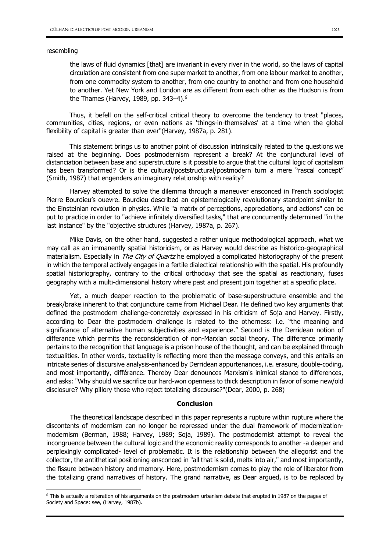#### resembling

 $\overline{a}$ 

the laws of fluid dynamics [that] are invariant in every river in the world, so the laws of capital circulation are consistent from one supermarket to another, from one labour market to another, from one commodity system to another, from one country to another and from one household to another. Yet New York and London are as different from each other as the Hudson is from the Thames (Harvey, 1989, pp. 343–4). 6

Thus, it befell on the self-critical critical theory to overcome the tendency to treat "places, communities, cities, regions, or even nations as 'things-in-themselves' at a time when the global flexibility of capital is greater than ever"(Harvey, 1987a, p. 281).

This statement brings us to another point of discussion intrinsically related to the questions we raised at the beginning. Does postmodernism represent a break? At the conjunctural level of distanciation between base and superstructure is it possible to argue that the cultural logic of capitalism has been transformed? Or is the cultural/poststructural/postmodern turn a mere "rascal concept" (Smith, 1987) that engenders an imaginary relationship with reality?

Harvey attempted to solve the dilemma through a maneuver ensconced in French sociologist Pierre Bourdieu's ouevre. Bourdieu described an epistemologically revolutionary standpoint similar to the Einsteinian revolution in physics. While "a matrix of perceptions, appreciations, and actions" can be put to practice in order to "achieve infinitely diversified tasks," that are concurrently determined "in the last instance" by the "objective structures (Harvey, 1987a, p. 267).

Mike Davis, on the other hand, suggested a rather unique methodological approach, what we may call as an immanently spatial historicism, or as Harvey would describe as historico-geographical materialism. Especially in The City of Quartz he employed a complicated historiography of the present in which the temporal actively engages in a fertile dialectical relationship with the spatial. His profoundly spatial historiography, contrary to the critical orthodoxy that see the spatial as reactionary, fuses geography with a multi-dimensional history where past and present join together at a specific place.

Yet, a much deeper reaction to the problematic of base-superstructure ensemble and the break/brake inherent to that conjuncture came from Michael Dear. He defined two key arguments that defined the postmodern challenge-concretely expressed in his criticism of Soja and Harvey. Firstly, according to Dear the postmodern challenge is related to the otherness: i.e. "the meaning and significance of alternative human subjectivities and experience." Second is the Derridean notion of differance which permits the reconsideration of non-Marxian social theory. The difference primarily pertains to the recognition that language is a prison house of the thought, and can be explained through textualities. In other words, textuality is reflecting more than the message conveys, and this entails an intricate series of discursive analysis-enhanced by Derridean appurtenances, i.e. erasure, double-coding, and most importantly, différance. Thereby Dear denounces Marxism's inimical stance to differences, and asks: "Why should we sacrifice our hard-won openness to thick description in favor of some new/old disclosure? Why pillory those who reject totalizing discourse?"(Dear, 2000, p. 268)

### Conclusion

The theoretical landscape described in this paper represents a rupture within rupture where the discontents of modernism can no longer be repressed under the dual framework of modernizationmodernism (Berman, 1988; Harvey, 1989; Soja, 1989). The postmodernist attempt to reveal the incongruence between the cultural logic and the economic reality corresponds to another -a deeper and perplexingly complicated- level of problematic. It is the relationship between the allegorist and the collector, the antithetical positioning ensconced in "all that is solid, melts into air," and most importantly, the fissure between history and memory. Here, postmodernism comes to play the role of liberator from the totalizing grand narratives of history. The grand narrative, as Dear argued, is to be replaced by

<sup>6</sup> This is actually a reiteration of his arguments on the postmodern urbanism debate that erupted in 1987 on the pages of Society and Space: see, (Harvey, 1987b).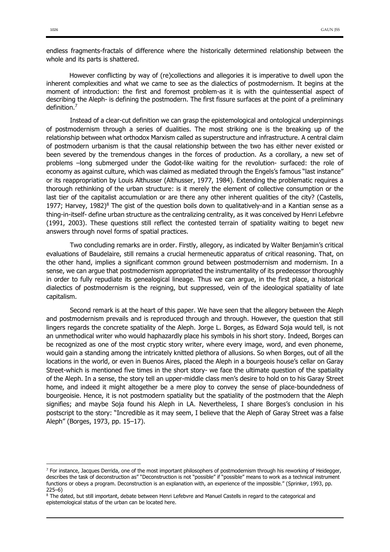endless fragments-fractals of difference where the historically determined relationship between the whole and its parts is shattered.

However conflicting by way of (re)collections and allegories it is imperative to dwell upon the inherent complexities and what we came to see as the dialectics of postmodernism. It begins at the moment of introduction: the first and foremost problem-as it is with the quintessential aspect of describing the Aleph- is defining the postmodern. The first fissure surfaces at the point of a preliminary definition.7

Instead of a clear-cut definition we can grasp the epistemological and ontological underpinnings of postmodernism through a series of dualities. The most striking one is the breaking up of the relationship between what orthodox Marxism called as superstructure and infrastructure. A central claim of postmodern urbanism is that the causal relationship between the two has either never existed or been severed by the tremendous changes in the forces of production. As a corollary, a new set of problems –long submerged under the Godot-like waiting for the revolution- surfaced: the role of economy as against culture, which was claimed as mediated through the Engels's famous "last instance" or its reappropriation by Louis Althusser (Althusser, 1977, 1984). Extending the problematic requires a thorough rethinking of the urban structure: is it merely the element of collective consumption or the last tier of the capitalist accumulation or are there any other inherent qualities of the city? (Castells, 1977; Harvey,  $1982$ <sup>8</sup> The gist of the question boils down to qualitatively-and in a Kantian sense as a thing-in-itself- define urban structure as the centralizing centrality, as it was conceived by Henri Lefebvre (1991, 2003). These questions still reflect the contested terrain of spatiality waiting to beget new answers through novel forms of spatial practices.

Two concluding remarks are in order. Firstly, allegory, as indicated by Walter Benjamin's critical evaluations of Baudelaire, still remains a crucial hermeneutic apparatus of critical reasoning. That, on the other hand, implies a significant common ground between postmodernism and modernism. In a sense, we can argue that postmodernism appropriated the instrumentality of its predecessor thoroughly in order to fully repudiate its genealogical lineage. Thus we can argue, in the first place, a historical dialectics of postmodernism is the reigning, but suppressed, vein of the ideological spatiality of late capitalism.

Second remark is at the heart of this paper. We have seen that the allegory between the Aleph and postmodernism prevails and is reproduced through and through. However, the question that still lingers regards the concrete spatiality of the Aleph. Jorge L. Borges, as Edward Soja would tell, is not an unmethodical writer who would haphazardly place his symbols in his short story. Indeed, Borges can be recognized as one of the most cryptic story writer, where every image, word, and even phoneme, would gain a standing among the intricately knitted plethora of allusions. So when Borges, out of all the locations in the world, or even in Buenos Aires, placed the Aleph in a bourgeois house's cellar on Garay Street-which is mentioned five times in the short story- we face the ultimate question of the spatiality of the Aleph. In a sense, the story tell an upper-middle class men's desire to hold on to his Garay Street home, and indeed it might altogether be a mere ploy to convey the sense of place-boundedness of bourgeoisie. Hence, it is not postmodern spatiality but the spatiality of the postmodern that the Aleph signifies; and maybe Soja found his Aleph in LA. Nevertheless, I share Borges's conclusion in his postscript to the story: "Incredible as it may seem, I believe that the Aleph of Garay Street was a false Aleph" (Borges, 1973, pp. 15–17).

 $\overline{a}$ 

 $7$  For instance, Jacques Derrida, one of the most important philosophers of postmodernism through his reworking of Heidegger, describes the task of deconstruction as" "Deconstruction is not "possible" if "possible" means to work as a technical instrument functions or obeys a program. Deconstruction is an explanation with, an experience of the impossible." (Sprinker, 1993, pp. 225–6)

<sup>&</sup>lt;sup>8</sup> The dated, but still important, debate between Henri Lefebvre and Manuel Castells in regard to the categorical and epistemological status of the urban can be located here.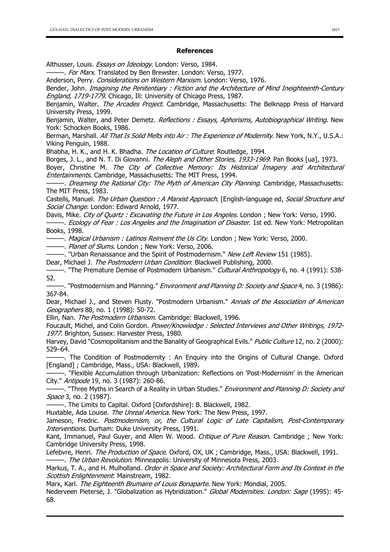### References

Althusser, Louis. Essays on Ideology. London: Verso, 1984.

-. For Marx. Translated by Ben Brewster. London: Verso, 1977.

Anderson, Perry. Considerations on Western Marxism. London: Verso, 1976.

Bender, John. Imagining the Penitentiary : Fiction and the Architecture of Mind Ineighteenth-Century England, 1719-1779. Chicago, Ill: University of Chicago Press, 1987.

Benjamin, Walter. The Arcades Project. Cambridge, Massachusetts: The Belknapp Press of Harvard University Press, 1999.

Benjamin, Walter, and Peter Demetz. Reflections : Essays, Aphorisms, Autobiographical Writing. New York: Schocken Books, 1986.

Berman, Marshall. All That Is Solid Melts into Air : The Experience of Modernity. New York, N.Y., U.S.A.: Viking Penguin, 1988.

Bhabha, H. K., and H. K. Bhadha. The Location of Culture: Routledge, 1994.

Borges, J. L., and N. T. Di Giovanni. The Aleph and Other Stories, 1933-1969. Pan Books [ua], 1973.

Boyer, Christine M. The City of Collective Memory: Its Historical Imagery and Architectural Entertainments. Cambridge, Massachusetts: The MIT Press, 1994.

-. Dreaming the Rational City: The Myth of American City Planning. Cambridge, Massachusetts: The MIT Press, 1983.

Castells, Manuel. The Urban Question : A Marxist Approach. [English-language ed, Social Structure and Social Change. London: Edward Arnold, 1977.

Davis, Mike. City of Quartz: Excavating the Future in Los Angeles. London; New York: Verso, 1990.

-. *Ecology of Fear : Los Angeles and the Imagination of Disaster*. 1st ed. New York: Metropolitan Books, 1998.

- Magical Urbanism: Latinos Reinvent the Us City. London; New York: Verso, 2000.

——. *Planet of Slums*. London: New York: Verso, 2006.

———. "Urban Renaissance and the Spirit of Postmodernism." New Left Review 151 (1985).

Dear, Michael J. The Postmodern Urban Condition: Blackwell Publishing, 2000.

—. "The Premature Demise of Postmodern Urbanism." Cultural Anthropology 6, no. 4 (1991): 538-52.

-. "Postmodernism and Planning." *Environment and Planning D: Society and Space* 4, no. 3 (1986): 367-84.

Dear, Michael J., and Steven Flusty. "Postmodern Urbanism." Annals of the Association of American Geographers 88, no. 1 (1998): 50-72.

Ellin, Nan. The Postmodern Urbanism. Cambridge: Blackwell, 1996.

Foucault, Michel, and Colin Gordon. Power/Knowledge : Selected Interviews and Other Writings, 1972-1977. Brighton, Sussex: Harvester Press, 1980.

Harvey, David "Cosmopolitanism and the Banality of Geographical Evils." Public Culture 12, no. 2 (2000): 529–64.

-. The Condition of Postmodernity : An Enquiry into the Origins of Cultural Change. Oxford [England] ; Cambridge, Mass., USA: Blackwell, 1989.

———. "Flexible Accumulation through Urbanization: Reflections on 'Post-Modernism' in the American City." Antipode 19, no. 3 (1987): 260-86.

-. "Three Myths in Search of a Reality in Urban Studies." *Environment and Planning D: Society and* Space 3, no. 2 (1987).

———. The Limits to Capital. Oxford [Oxfordshire]: B. Blackwell, 1982.

Huxtable, Ada Louise. The Unreal America. New York: The New Press, 1997.

Jameson, Fredric. Postmodernism, or, the Cultural Logic of Late Capitalism, Post-Contemporary Interventions. Durham: Duke University Press, 1991.

Kant, Immanuel, Paul Guyer, and Allen W. Wood. Critique of Pure Reason. Cambridge ; New York: Cambridge University Press, 1998.

Lefebvre, Henri. The Production of Space. Oxford, OX, UK ; Cambridge, Mass., USA: Blackwell, 1991. -. The Urban Revolution. Minneapolis: University of Minnesota Press, 2003.

Markus, T. A., and H. Mulholland. Order in Space and Society: Architectural Form and Its Context in the Scottish Enlightenment: Mainstream, 1982.

Marx, Karl. The Eighteenth Brumaire of Louis Bonaparte. New York: Mondial, 2005.

Nederveen Pieterse, J. "Globalization as Hybridization." Global Modernities, London: Sage (1995): 45-68.